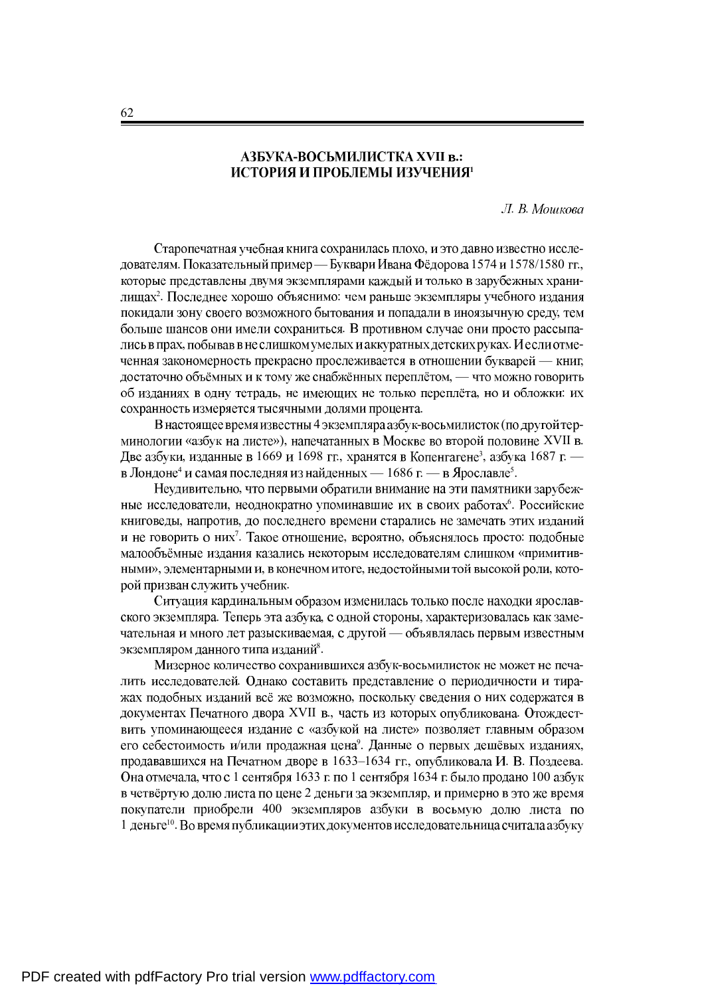## **АЗБУКА-ВОСЬМИЛИСТКА XVII в.:** ИСТОРИЯ И ПРОБЛЕМЫ ИЗУЧЕНИЯ<sup>1</sup>

**Л. В. Мошкова** 

Старопечатная учебная книга сохранилась плохо, и это давно известно исследователям. Показательный пример — Буквари Ивана Фёдорова 1574 и 1578/1580 гг., которые представлены двумя экземплярами каждый и только в зарубежных храни-2. Последнее хорошо объяснимо: покидали зону своего возможного бытования и попадали в иноязычную среду, тем больше шансов они имели сохраниться. В противном случае они просто рассыпались в прах, побывав в не слишком умелых и аккуратных детских руках. И если отмеченная закономерность прекрасно прослеживается в отношении букварей - книг, достаточно объёмных и к тому же снабжённых переплётом, — что можно говорить об изданиях в одну тетрадь, не имеющих не только переплёта, но и обложки: их сохранность измеряется тысячными долями процента.

В настоящее время известны 4 экземпляра азбук-восьмилисток (по другой терминологии «азбук на листе»), напечатанных в Москве во второй половине XVII в. , изданные в 1669 и 1698 гг., хранятся в Копенгагене<sup>з</sup>, азбука 1687 г. —  $^4$  и самая последняя из найденных — 1686 г. — в Ярославле $^5$ .

Неудивительно, что первыми обратили внимание на эти памятники зарубеж-, неоднократно упоминавшие их в своих работах<sup>6</sup>. книговеды, напротив, до последнего времени старались не замечать этих изданий 7. Такое отношение, вероятно, объяснялось просто: малообъёмные издания казались некоторым исследователям слишком «примитивными», элементарными и, в конечном итоге, недостойными той высокой роли, которой призван служить учебник.

Ситуация кардинальным образом изменилась только после находки ярославского экземпляра. Теперь эта азбука, с одной стороны, характеризовалась как замечательная и много лет разыскиваемая, с другой — объявлялась первым известным 8 .

Мизерное количество сохранившихся азбук-восьмилисток не может не печалить исследователей. Однако составить представление о периодичности и тиражах подобных изданий всё же возможно, поскольку сведения о них содержатся в документах Печатного двора XVII в., часть из которых опубликована. Отождествить упоминающееся издание с «азбукой на листе» позволяет главным образом /или продажная цена<sup>9</sup>. Данные о первых дешёвых изданиях, продававшихся на Печатном дворе в 1633-1634 гг., опубликовала И. В. Поздеева. Она отмечала, что с 1 сентября 1633 г. по 1 сентября 1634 г. было продано 100 азбук в четвёртую долю листа по цене 2 деньги за экземпляр, и примерно в это же время покупатели приобрели 400 экземпляров азбуки в восьмую долю листа по 1 деньге $^{10}$ .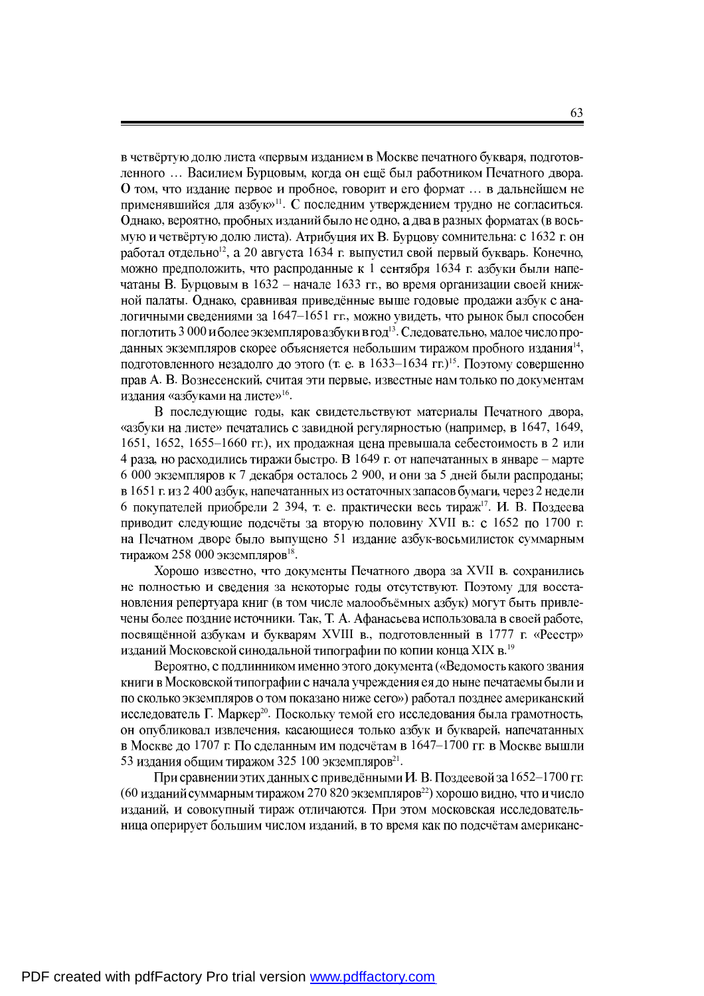в четвёртую долю листа «первым изданием в Москве печатного букваря, подготовленного ... Василием Бурцовым, когда он ещё был работником Печатного двора. О том, что издание первое и пробное, говорит и его формат ... в дальнейшем не »<sup>11</sup>. С последним утверждением трудно не согласиться. Однако, вероятно, пробных изданий было не одно, а два в разных форматах (в восьмую и четвёртую долю листа). Атрибуция их В. Бурцову сомнительна: с 1632 г. он  $12$ , а 20 августа 1634 г. выпустил свой первый букварь. Конечно, можно предположить, что распроданные к 1 сентября 1634 г. азбуки были напечатаны В. Бурцовым в  $1632 -$ начале  $1633$  гг., во время организации своей книжной палаты. Однако, сравнивая приведённые выше годовые продажи азбук с аналогичными сведениями за 1647-1651 гг., можно увидеть, что рынок был способен 3 000 и более экземпляров азбуки в год<sup>13</sup>. Следовательно, малое число про-14 ,  $(T. e. B 1633 - 1634 T)^{15}$ . прав А. В. Вознесенский, считая эти первые, известные нам только по документам «азбуками на листе»<sup>16</sup>.

В последующие годы, как свидетельствуют материалы Печатного двора, «азбуки на листе» печатались с завидной регулярностью (например, в 1647, 1649, 1651, 1652, 1655-1660 гг.), их продажная цена превышала себестоимость в 2 или 4 раза, но расходились тиражи быстро. В 1649 г. от напечатанных в январе - марте 6 000 экземпляров к 7 декабря осталось 2 900, и они за 5 дней были распроданы; в 1651 г. из 2 400 азбук, напечатанных из остаточных запасов бумаги, через 2 недели 6 покупателей приобрели 2 394, т. е. практически весь тираж<sup>17</sup>. И. В. приводит следующие подсчёты за вторую половину XVII в.: с 1652 по 1700 г. на Печатном дворе было выпущено 51 издание азбук-восьмилисток суммарным 258 000 экземпляров<sup>18</sup>.

Хорошо известно, что документы Печатного двора за XVII в. сохранились не полностью и сведения за некоторые годы отсутствуют. Поэтому для восстановления репертуара книг (в том числе малообъёмных азбук) могут быть привлечены более поздние источники. Так, Т. А. Афанасьева использовала в своей работе, посвящённой азбукам и букварям XVIII в., подготовленный в 1777 г. «Реестр»  $XIX$  B.<sup>19</sup>

Вероятно, с подлинником именно этого документа («Ведомость какого звания книги в Московской типографии с начала учреждения ея до ныне печатаемы были и по сколько экземпляров о том показано ниже сего») работал позднее американский . Маркер<sup>20</sup>. Поскольку темой его исследования была грамотность, он опубликовал извлечения, касающиеся только азбук и букварей, напечатанных в Москве до 1707 г. По сделанным им подсчётам в 1647-1700 гг. в Москве вышли 53 издания общим тиражом 325 100 экземпляров<sup>21</sup>.

При сравнении этих данных с приведёнными И. В. Поздеевой за 1652-1700 гг. (60 изданий суммарным тиражом 270 820 экземпляров<sup>22</sup>) хорошо видно, что и число изданий, и совокупный тираж отличаются. При этом московская исследовательница оперирует большим числом изданий, в то время как по подсчётам американс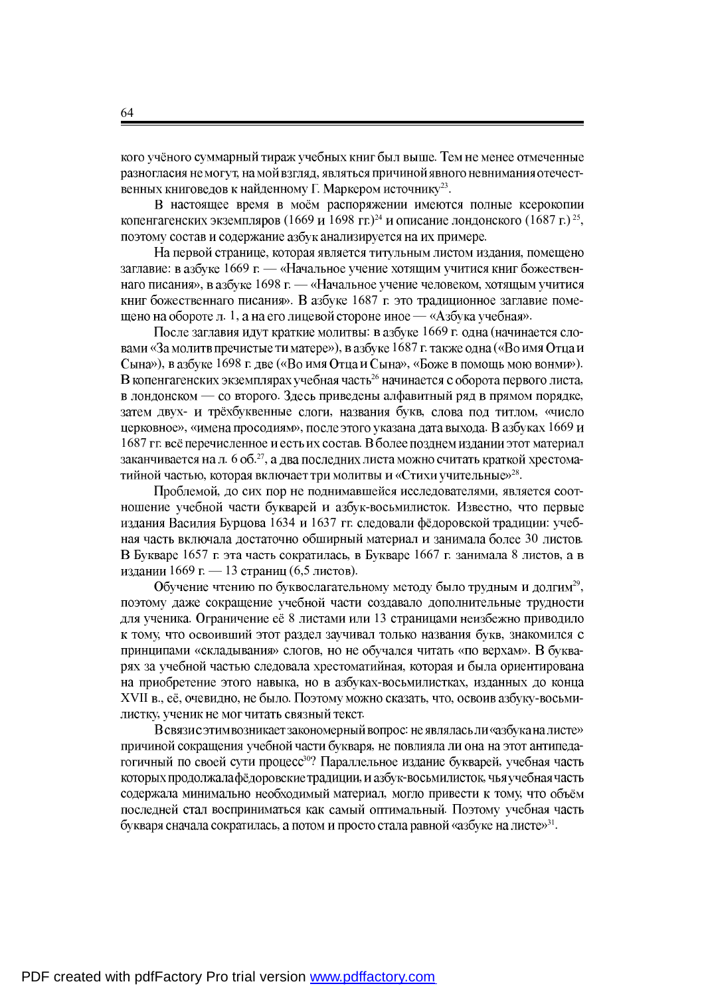кого учёного суммарный тираж учебных книг был выше. Тем не менее отмеченные разногласия не могут, на мой взгляд, являться причиной явного невнимания отечест-. Маркером источнику<sup>23</sup>.

В настоящее время в моём распоряжении имеются полные ксерокопии (1669 и 1698 гг.)<sup>24</sup> и описание лондонского (1687 г.)<sup>25</sup>, поэтому состав и содержание азбук анализируется на их примере.

На первой странице, которая является титульным листом издания, помещено заглавие: в азбуке 1669 г. - «Начальное учение хотящим учитися книг божественнаго писания», в азбуке 1698 г. - «Начальное учение человеком, хотящым учитися книг божественнаго писания». В азбуке 1687 г. это традиционное заглавие помещено на обороте л. 1, а на его лицевой стороне иное — «Азбука учебная».

После заглавия идут краткие молитвы: в азбуке 1669 г. одна (начинается словами «За молитв пречистые ти матере»), в азбуке 1687 г. также одна («Во имя Отца и Сына»), в азбуке 1698 г. две («Во имя Отца и Сына», «Боже в помощь мою вонми»). <sup>26</sup> начинается с оборота первого листа, в лондонском — со второго. Здесь приведены алфавитный ряд в прямом порядке, затем двух- и трёхбуквенные слоги, названия букв, слова под титлом, «число церковное», «имена просодиям», после этого указана дата выхода. В азбуках 1669 и 1687 гг. всё перечисленное и есть их состав. В более позднем издании этот материал  $1.6$  об.<sup>27</sup>, а два последних листа можно считать краткой хрестома-, которая включает три молитвы и «Стихи учительные»<sup>28</sup>.

Проблемой, до сих пор не поднимавшейся исследователями, является соотношение учебной части букварей и азбук-восьмилисток. Известно, что первые издания Василия Бурцова 1634 и 1637 гг. следовали фёдоровской традиции: учебная часть включала достаточно обширный материал и занимала более 30 листов. В Букваре 1657 г. эта часть сократилась, в Букваре 1667 г. занимала 8 листов, а в издании 1669 г. — 13 страниц (6,5 листов).

29 , поэтому даже сокращение учебной части создавало дополнительные трудности для ученика. Ограничение её 8 листами или 13 страницами неизбежно приводило к тому, что освоивший этот раздел заучивал только названия букв, знакомился с принципами «складывания» слогов, но не обучался читать «по верхам». В букварях за учебной частью следовала хрестоматийная, которая и была ориентирована на приобретение этого навыка, но в азбуках-восьмилистках, изданных до конца XVII в., её, очевидно, не было. Поэтому можно сказать, что, освоив азбуку-восьмилистку, ученик не мог читать связный текст.

В связи с этим возникает закономерный вопрос: не являлась ли «азбука на листе» причиной сокращения учебной части букваря, не повлияла ли она на этот антипедагогичный по своей сути процесс<sup>30</sup>? Параллельное издание букварей, учебная часть которых продолжала фёдоровские традиции, и азбук-восьмилисток, чья учебная часть содержала минимально необходимый материал, могло привести к тому, что объём последней стал восприниматься как самый оптимальный. Поэтому учебная часть , а потом и просто стала равной «азбуке на листе»<sup>31</sup>.

64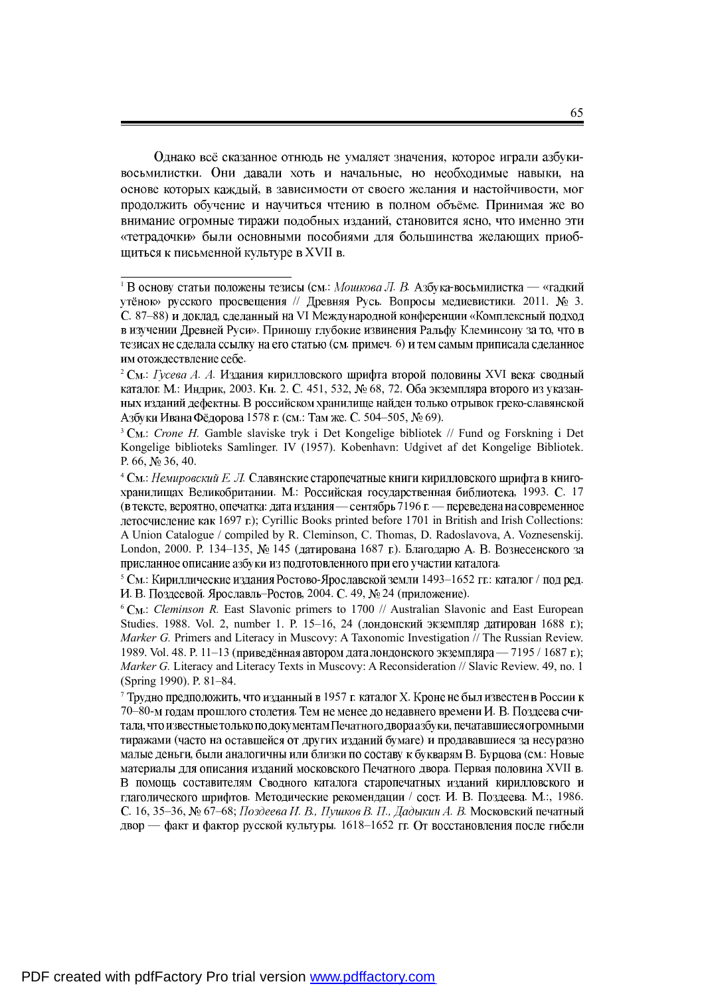Однако всё сказанное отнюдь не умаляет значения, которое играли азбукивосьмилистки. Они давали хоть и начальные, но необходимые навыки, на основе которых каждый, в зависимости от своего желания и настойчивости, мог продолжить обучение и научиться чтению в полном объёме. Принимая же во внимание огромные тиражи подобных изданий, становится ясно, что именно эти «тетрадочки» были основными пособиями для большинства желающих приобщиться к письменной культуре в XVII в.

<sup>&</sup>lt;sup>1</sup> В основу статьи положены тезисы (см.: Мошкова Л. В. Азбука-восьмилистка — « утёнок» русского просвещения // Древняя Русь. Вопросы медиевистики. 2011. № 3. С. 87-88) и доклад, сделанный на VI Международной конференции «Комплексный подход в изучении Древней Руси». Приношу глубокие извинения Ральфу Клеминсону за то, что в тезисах не сделала ссылку на его статью (см. примеч. 6) и тем самым приписала сделанное им отождествление себе.

<sup>&</sup>lt;sup>2</sup> См.: *Гусева А. А. Издания кирилловского шрифта второй половины XVI века:* каталог. М.: Индрик, 2003. Кн. 2. С. 451, 532, № 68, 72. Оба экземпляра второго из указанных изданий дефектны. В российском хранилище найден только отрывок греко-славянской Азбуки Ивана Фёдорова 1578 г. (см.: Там же. С. 504–505, № 69).

<sup>3</sup> .: *Crone H.* Gamble slaviske tryk i Det Kongelige bibliotek // Fund og Forskning i Det Kongelige biblioteks Samlinger. IV (1957). Kobenhavn: Udgivet af det Kongelige Bibliotek. P. 66, No 36, 40.

 $^4$  См.: *Немировский Е. Л*. Славянские старопечатные книги кирилловского шрифта в книгохранилищах Великобритании. М.: Российская государственная библиотека, 1993. С. 17 (в тексте, вероятно, опечатка: дата издания - сентябрь 7196 г. - переведена на современное летосчисление как 1697 г.); Cyrillic Books printed before 1701 in British and Irish Collections: A Union Catalogue / ompiled by R. Cleminson, C. Thomas, D. Radoslavova, A. Voznesenskij. London, 2000. Р. 134-135, № 145 (датирована 1687 г.). Благодарю А. В. Вознесенского за присланное описание азбуки из подготовленного при его участии каталога.

 $^5$  См.: Кириллические издания Ростово-Ярославской земли 1493–1652 гг.: каталог / под ред. И. В. Поздеевой. Ярославль-Ростов, 2004. С. 49, № 24 (приложение).

<sup>6</sup> .: *Cleminson R.* East Slavonic primers to 1700 // Australian Slavonic and East European Studies. 1988. Vol. 2, number 1. P. 15–16, 24 (лондонский экземпляр датирован 1688 г.); *Marker G.* Primers and Literacy in Muscovy: A Taxonomic Investigation // The Russian Review. 1989. Vol. 48. Р. 11-13 (приведённая автором дата лондонского экземпляра - 7195 / 1687 г.); *Marker G.* Literacy and Literacy Texts in Muscovy: A Reconsideration // Slavic Review. 49, no. 1 (Spring 1990). P. 81-84.

 $^7$  Трудно предположить, что изданный в 1957 г. каталог X. 70-80-м годам прошлого столетия. Тем не менее до недавнего времени И. В. Поздеева считала, что известные только по документам Печатного двора азбуки, печатавшиеся огромными тиражами (часто на оставшейся от других изданий бумаге) и продававшиеся за несуразно малые деньги, были аналогичны или близки по составу к букварям В. Бурцова (см.: Новые материалы для описания изданий московского Печатного двора. Первая половина XVII в. В помощь составителям Сводного каталога старопечатных изданий кирилловского и глаголического шрифтов. Методические рекомендации / сост. И. В. Поздеева. М.:, 1986. С. 16, 35-36, № 67-68; *Поздеева И. В., Пушков В. П., Дадыкин А. В.* Московский печатный двор — факт и фактор русской культуры. 1618–1652 гг. От восстановления после гибели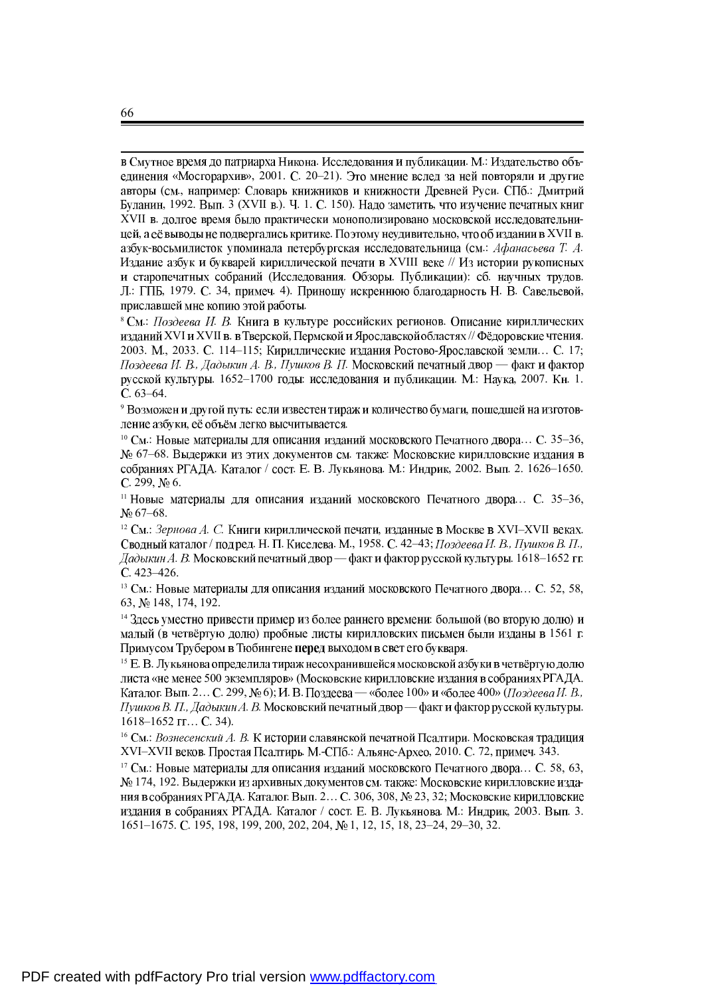в Смутное время до патриарха Никона. Исследования и публикации. М.: Издательство объединения «Мосгорархив», 2001. С. 20-21). Это мнение вслед за ней повторяли и другие авторы (см., например: Словарь книжников и книжности Древней Руси. СПб.: Дмитрий Буланин, 1992. Вып. 3 (XVII в.). Ч. 1. С. 150). Надо заметить, что изучение печатных книг XVII в. долгое время было практически монополизировано московской исследовательницей, а её выводы не подвергались критике. Поэтому неудивительно, что об издании в XVII в. азбук-восьмилисток упоминала петербургская исследовательница (см.: Афанасьева Т. А. Издание азбук и букварей кириллической печати в XVIII веке // Из истории рукописных и старопечатных собраний (Исследования. Обзоры. Публикации): сб. научных трудов. Л.: ГПБ, 1979. С. 34, примеч. 4). Приношу искреннюю благодарность Н. В. Савельевой, приславшей мне копию этой работы.

<sup>8</sup> См.: Поздеева И. В. Книга в культуре российских регионов. изданий XVI и XVII в. в Тверской. Пермской и Ярославской областях // Фёдоровские чтения. 2003. М., 2033. С. 114-115; Кириллические издания Ростово-Ярославской земли... С. 17; Поздеева И. В., Дадыкин А. В., Пушков В. П. Московский печатный двор — факт и фактор русской культуры. 1652-1700 годы: исследования и публикации. М.: Наука, 2007. Кн. 1.  $C. 63-64.$ 

 $^9$  Возможен и другой путь: если известен тираж и количество бумаги, пошедшей на изготовление азбуки, её объём легко высчитывается.

 $10$  См.: Новые материалы для описания изданий московского Печатного двора... С. 35–36, № 67-68. Выдержки из этих документов см. также: Московские кирилловские издания в собраниях РГАДА. Каталог / сост. Е. В. Лукьянова. М.: Индрик, 2002. Вып. 2. 1626-1650.  $C. 299, N<sub>2</sub> 6.$ 

<sup>11</sup> Новые материалы для описания изданий московского Печатного двора... С. 35-36, No 67-68.

<sup>12</sup> См.: Зернова А. С. Книги кириллической печати, изданные в Москве в XVI-XVII веках. Сводный каталог / под ред. Н. П. Киселева. М., 1958. С. 42–43; Поздеева И. В., Пушков В. П.,  $\mu$ адыкин А. В. Московский печатный двор — факт и фактор русской культуры. 1618–1652 гг. C. 423-426.

<sup>13</sup> См.: Новые материалы для описания изданий московского Печатного двора... С. 52, 58, 63, 148, 174, 192.

14 Здесь уместно привести пример из более раннего времени: большой (во вторую долю) и малый (в четвёртую долю) пробные листы кирилловских письмен были изданы в 1561 г. Примусом Трубером в Тюбингене перед выходом в свет его букваря.

 $^{15}$  E. B. . листа «не менее 500 экземпляров» (Московские кирилловские издания в собраниях РГАДА. Каталог. Вып. 2... С. 299, № 6); И. В. Поздеева — «более 100» и «более 400» (Поздеева И. В., Пушков В. П., Дадыкин А. В. Московский печатный двор — факт и фактор русской культуры.  $1618 - 1652$   $\text{rr}$ ... C. 34).

<sup>16</sup> См.: Вознесенский А. В. К истории славянской печатной Псалтири. XVI-XVII веков. Простая Псалтирь. М.-СПб.: Альянс-Архео, 2010. С. 72, примеч. 343.

<sup>17</sup> См.: Новые материалы для описания изданий московского Печатного двора... С. 58, 63, № 174, 192. Выдержки из архивных документов см. также: Московские кирилловские издания в собраниях РГАДА. Каталог. Вып. 2... С. 306, 308, № 23, 32; Московские кирилловские издания в собраниях РГАДА. Каталог / сост. Е. В. Лукьянова. М.: Индрик. 2003. Вып. 3. 1651-1675. C. 195, 198, 199, 200, 202, 204, № 1, 12, 15, 18, 23-24, 29-30, 32.

66